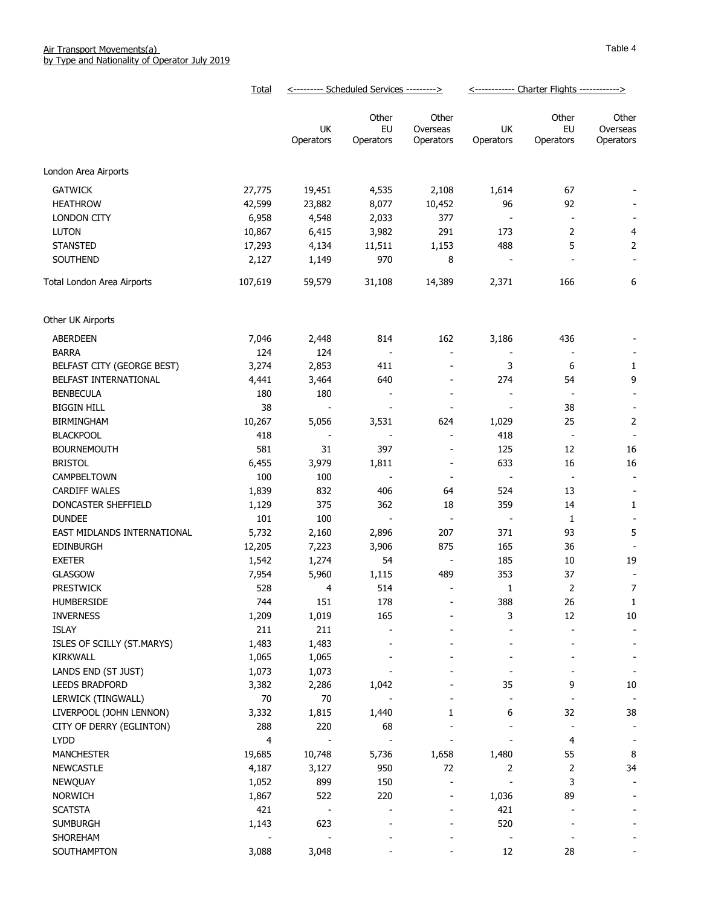|                                    | <b>Total</b>    | <--------- Scheduled Services ---------> |                          | <------------ Charter Flights ------------> |                          |                          |                              |
|------------------------------------|-----------------|------------------------------------------|--------------------------|---------------------------------------------|--------------------------|--------------------------|------------------------------|
|                                    |                 |                                          | Other                    | Other                                       |                          | Other                    | Other                        |
|                                    |                 | UK                                       | EU                       | Overseas                                    | UK                       | EU                       | Overseas                     |
|                                    |                 | Operators                                | Operators                | Operators                                   | Operators                | Operators                | Operators                    |
| London Area Airports               |                 |                                          |                          |                                             |                          |                          |                              |
| <b>GATWICK</b>                     | 27,775          | 19,451                                   | 4,535                    | 2,108                                       | 1,614                    | 67                       |                              |
| <b>HEATHROW</b>                    | 42,599          | 23,882                                   | 8,077                    | 10,452                                      | 96                       | 92                       |                              |
|                                    |                 |                                          |                          | 377                                         |                          |                          |                              |
| <b>LONDON CITY</b><br><b>LUTON</b> | 6,958<br>10,867 | 4,548                                    | 2,033<br>3,982           | 291                                         | 173                      | 2                        | 4                            |
| <b>STANSTED</b>                    | 17,293          | 6,415<br>4,134                           | 11,511                   | 1,153                                       | 488                      | 5                        | $\mathbf 2$                  |
| SOUTHEND                           | 2,127           | 1,149                                    | 970                      | 8                                           |                          |                          |                              |
|                                    |                 |                                          |                          |                                             |                          |                          |                              |
| Total London Area Airports         | 107,619         | 59,579                                   | 31,108                   | 14,389                                      | 2,371                    | 166                      | 6                            |
| Other UK Airports                  |                 |                                          |                          |                                             |                          |                          |                              |
| ABERDEEN                           | 7,046           | 2,448                                    | 814                      | 162                                         | 3,186                    | 436                      |                              |
| <b>BARRA</b>                       | 124             | 124                                      |                          | $\overline{\phantom{a}}$                    |                          |                          |                              |
| BELFAST CITY (GEORGE BEST)         | 3,274           | 2,853                                    | 411                      | $\overline{\phantom{a}}$                    | 3                        | 6                        | 1                            |
| BELFAST INTERNATIONAL              | 4,441           | 3,464                                    | 640                      | $\overline{\phantom{a}}$                    | 274                      | 54                       | 9                            |
| <b>BENBECULA</b>                   | 180             | 180                                      |                          | $\overline{\phantom{a}}$                    | $\overline{\phantom{a}}$ | $\overline{\phantom{a}}$ | $\overline{\phantom{a}}$     |
| <b>BIGGIN HILL</b>                 | 38              |                                          |                          |                                             |                          | 38                       | $\overline{\phantom{a}}$     |
| BIRMINGHAM                         | 10,267          | 5,056                                    | 3,531                    | 624                                         | 1,029                    | 25                       | $\overline{2}$               |
| <b>BLACKPOOL</b>                   | 418             |                                          |                          | $\overline{\phantom{a}}$                    | 418                      | $\overline{\phantom{a}}$ | $\overline{\phantom{a}}$     |
| <b>BOURNEMOUTH</b>                 | 581             | 31                                       | 397                      | $\overline{\phantom{a}}$                    | 125                      | 12                       | 16                           |
| <b>BRISTOL</b>                     | 6,455           | 3,979                                    | 1,811                    | $\overline{\phantom{a}}$                    | 633                      | 16                       | 16                           |
| CAMPBELTOWN                        | 100             | 100                                      | $\overline{\phantom{a}}$ | $\overline{\phantom{a}}$                    | $\frac{1}{2}$            | $\overline{\phantom{a}}$ | $\overline{\phantom{a}}$     |
| <b>CARDIFF WALES</b>               | 1,839           | 832                                      | 406                      | 64                                          | 524                      | 13                       | $\overline{\phantom{a}}$     |
| DONCASTER SHEFFIELD                | 1,129           | 375                                      | 362                      | 18                                          | 359                      | 14                       | 1                            |
| <b>DUNDEE</b>                      | 101             | 100                                      | $\overline{\phantom{a}}$ | $\blacksquare$                              | $\overline{\phantom{a}}$ | 1                        | $\overline{\phantom{a}}$     |
| EAST MIDLANDS INTERNATIONAL        | 5,732           | 2,160                                    | 2,896                    | 207                                         | 371                      | 93                       | 5                            |
| <b>EDINBURGH</b>                   | 12,205          | 7,223                                    | 3,906                    | 875                                         | 165                      | 36                       |                              |
| <b>EXETER</b>                      | 1,542           | 1,274                                    | 54                       | $\overline{\phantom{a}}$                    | 185                      | 10                       | 19                           |
| <b>GLASGOW</b>                     | 7,954           | 5,960                                    | 1,115                    | 489                                         | 353                      | 37                       |                              |
| <b>PRESTWICK</b>                   | 528             | $\overline{4}$                           | 514                      | $\overline{\phantom{a}}$                    | 1                        | $\overline{2}$           | 7                            |
| <b>HUMBERSIDE</b>                  | 744             | 151                                      | 178                      | $\overline{a}$                              | 388                      | 26                       | $\mathbf{1}$                 |
| <b>INVERNESS</b>                   | 1,209           | 1,019                                    | 165                      |                                             | 3                        | 12                       | $10\,$                       |
| <b>ISLAY</b>                       | 211             | 211                                      |                          |                                             |                          |                          | $\overline{\phantom{a}}$     |
| ISLES OF SCILLY (ST.MARYS)         | 1,483           | 1,483                                    |                          |                                             |                          |                          | $\qquad \qquad \blacksquare$ |
| KIRKWALL                           | 1,065           | 1,065                                    |                          |                                             |                          |                          |                              |
| LANDS END (ST JUST)                | 1,073           | 1,073                                    |                          |                                             |                          |                          | $\overline{\phantom{a}}$     |
| <b>LEEDS BRADFORD</b>              | 3,382           | 2,286                                    | 1,042                    |                                             | 35                       | 9                        | $10\,$                       |
| LERWICK (TINGWALL)                 | 70              | $70\,$                                   |                          |                                             | $\overline{a}$           | $\overline{\phantom{a}}$ | $\blacksquare$               |
| LIVERPOOL (JOHN LENNON)            | 3,332           | 1,815                                    | 1,440                    | 1                                           | 6                        | 32                       | 38                           |
| CITY OF DERRY (EGLINTON)           | 288             | 220                                      | 68                       | $\blacksquare$                              |                          | $\overline{\phantom{a}}$ | $\blacksquare$               |
| <b>LYDD</b>                        | 4               |                                          | $\overline{\phantom{a}}$ | $\overline{\phantom{a}}$                    |                          | 4                        | $\overline{\phantom{a}}$     |
| <b>MANCHESTER</b>                  | 19,685          | 10,748                                   | 5,736                    | 1,658                                       | 1,480                    | 55                       | 8                            |
| <b>NEWCASTLE</b>                   | 4,187           | 3,127                                    | 950                      | 72                                          | 2                        | $\overline{2}$           | 34                           |
| NEWQUAY                            | 1,052           | 899                                      | 150                      | $\overline{\phantom{a}}$                    | $\overline{\phantom{a}}$ | 3                        | $\overline{\phantom{a}}$     |
| <b>NORWICH</b>                     | 1,867           | 522                                      | 220                      | $\overline{\phantom{a}}$                    | 1,036                    | 89                       |                              |
| <b>SCATSTA</b>                     | 421             |                                          |                          | $\overline{a}$                              | 421                      |                          |                              |
| <b>SUMBURGH</b>                    | 1,143           | 623                                      |                          | $\overline{\phantom{a}}$                    | 520                      |                          |                              |
| SHOREHAM                           |                 |                                          |                          |                                             |                          |                          |                              |
| SOUTHAMPTON                        | 3,088           | 3,048                                    |                          |                                             | 12                       | 28                       |                              |